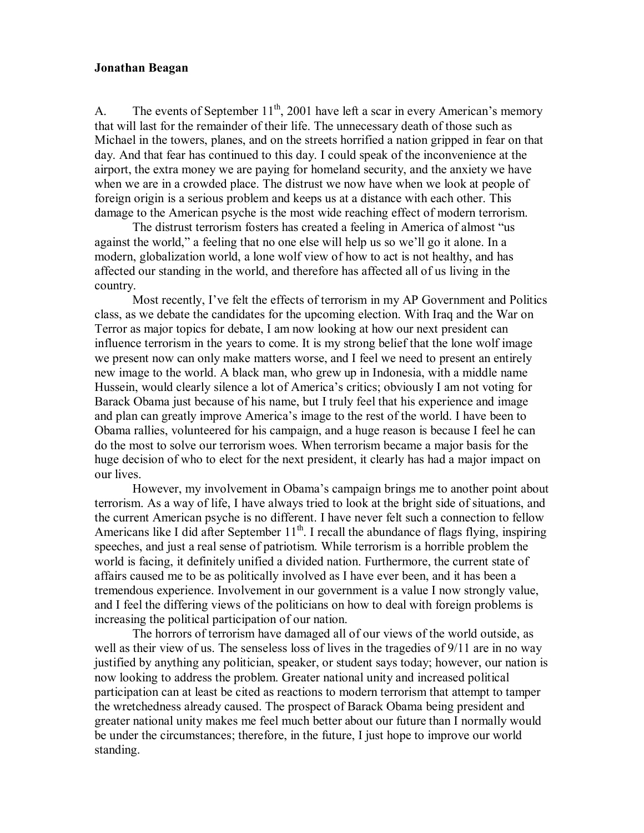## **Jonathan Beagan**

A. The events of September  $11<sup>th</sup>$ , 2001 have left a scar in every American's memory that will last for the remainder of their life. The unnecessary death of those such as Michael in the towers, planes, and on the streets horrified a nation gripped in fear on that day. And that fear has continued to this day. I could speak of the inconvenience at the airport, the extra money we are paying for homeland security, and the anxiety we have when we are in a crowded place. The distrust we now have when we look at people of foreign origin is a serious problem and keeps us at a distance with each other. This damage to the American psyche is the most wide reaching effect of modern terrorism.

The distrust terrorism fosters has created a feeling in America of almost "us against the world," a feeling that no one else will help us so we'll go it alone. In a modern, globalization world, a lone wolf view of how to act is not healthy, and has affected our standing in the world, and therefore has affected all of us living in the country.<br>Most recently, I've felt the effects of terrorism in my AP Government and Politics

class, as we debate the candidates for the upcoming election. With Iraq and the War on Terror as major topics for debate, I am now looking at how our next president can influence terrorism in the years to come. It is my strong belief that the lone wolf image we present now can only make matters worse, and I feel we need to present an entirely new image to the world. A black man, who grew up in Indonesia, with a middle name Hussein, would clearly silence a lot of America's critics; obviously I am not voting for Barack Obama just because of his name, but I truly feel that his experience and image and plan can greatly improve America's image to the rest of the world. I have been to Obama rallies, volunteered for his campaign, and a huge reason is because I feel he can do the most to solve our terrorism woes. When terrorism became a major basis for the huge decision of who to elect for the next president, it clearly has had a major impact on our lives.

However, my involvement in Obama's campaign brings me to another point about terrorism. As a way of life, I have always tried to look at the bright side of situations, and the current American psyche is no different. I have never felt such a connection to fellow Americans like I did after September  $11<sup>th</sup>$ . I recall the abundance of flags flying, inspiring speeches, and just a real sense of patriotism. While terrorism is a horrible problem the world is facing, it definitely unified a divided nation. Furthermore, the current state of affairs caused me to be as politically involved as I have ever been, and it has been a tremendous experience. Involvement in our government is a value I now strongly value, and I feel the differing views of the politicians on how to deal with foreign problems is increasing the political participation of our nation.

The horrors of terrorism have damaged all of our views of the world outside, as well as their view of us. The senseless loss of lives in the tragedies of 9/11 are in no way justified by anything any politician, speaker, or student says today; however, our nation is now looking to address the problem. Greater national unity and increased political participation can at least be cited as reactions to modern terrorism that attempt to tamper the wretchedness already caused. The prospect of Barack Obama being president and greater national unity makes me feel much better about our future than Inormally would be under the circumstances; therefore, in the future, I just hope to improve our world standing.